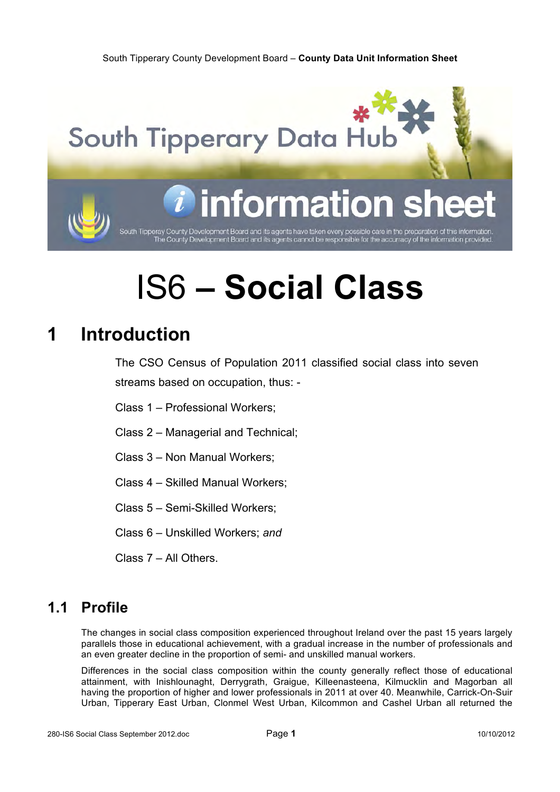

# IS6 **– Social Class**

# **1 Introduction**

The CSO Census of Population 2011 classified social class into seven streams based on occupation, thus: -

Class 1 – Professional Workers;

Class 2 – Managerial and Technical;

Class 3 – Non Manual Workers;

Class 4 – Skilled Manual Workers;

Class 5 – Semi-Skilled Workers;

Class 6 – Unskilled Workers; *and*

Class 7 – All Others.

## **1.1 Profile**

The changes in social class composition experienced throughout Ireland over the past 15 years largely parallels those in educational achievement, with a gradual increase in the number of professionals and an even greater decline in the proportion of semi- and unskilled manual workers.

Differences in the social class composition within the county generally reflect those of educational attainment, with Inishlounaght, Derrygrath, Graigue, Killeenasteena, Kilmucklin and Magorban all having the proportion of higher and lower professionals in 2011 at over 40. Meanwhile, Carrick-On-Suir Urban, Tipperary East Urban, Clonmel West Urban, Kilcommon and Cashel Urban all returned the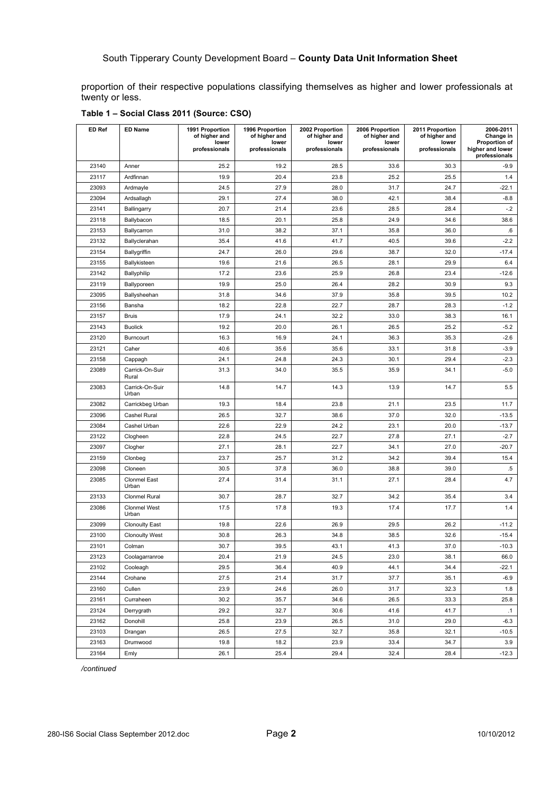proportion of their respective populations classifying themselves as higher and lower professionals at twenty or less.

| ED Ref | <b>ED Name</b>               | 1991 Proportion<br>of higher and<br>lower<br>professionals | 1996 Proportion<br>of higher and<br>lower<br>professionals | 2002 Proportion<br>of higher and<br>lower<br>professionals | 2006 Proportion<br>of higher and<br>lower<br>professionals | 2011 Proportion<br>of higher and<br>lower<br>professionals | 2006-2011<br>Change in<br>Proportion of<br>higher and lower<br>professionals |
|--------|------------------------------|------------------------------------------------------------|------------------------------------------------------------|------------------------------------------------------------|------------------------------------------------------------|------------------------------------------------------------|------------------------------------------------------------------------------|
| 23140  | Anner                        | 25.2                                                       | 19.2                                                       | 28.5                                                       | 33.6                                                       | 30.3                                                       | $-9.9$                                                                       |
| 23117  | Ardfinnan                    | 19.9                                                       | 20.4                                                       | 23.8                                                       | 25.2                                                       | 25.5                                                       | 1.4                                                                          |
| 23093  | Ardmayle                     | 24.5                                                       | 27.9                                                       | 28.0                                                       | 31.7                                                       | 24.7                                                       | $-22.1$                                                                      |
| 23094  | Ardsallagh                   | 29.1                                                       | 27.4                                                       | 38.0                                                       | 42.1                                                       | 38.4                                                       | -8.8                                                                         |
| 23141  | Ballingarry                  | 20.7                                                       | 21.4                                                       | 23.6                                                       | 28.5                                                       | 28.4                                                       | $-.2$                                                                        |
| 23118  | Ballybacon                   | 18.5                                                       | 20.1                                                       | 25.8                                                       | 24.9                                                       | 34.6                                                       | 38.6                                                                         |
| 23153  | Ballycarron                  | 31.0                                                       | 38.2                                                       | 37.1                                                       | 35.8                                                       | 36.0                                                       | .6                                                                           |
| 23132  | Ballyclerahan                | 35.4                                                       | 41.6                                                       | 41.7                                                       | 40.5                                                       | 39.6                                                       | $-2.2$                                                                       |
| 23154  | Ballygriffin                 | 24.7                                                       | 26.0                                                       | 29.6                                                       | 38.7                                                       | 32.0                                                       | $-17.4$                                                                      |
| 23155  | Ballykisteen                 | 19.6                                                       | 21.6                                                       | 26.5                                                       | 28.1                                                       | 29.9                                                       | 6.4                                                                          |
| 23142  | <b>Ballyphilip</b>           | 17.2                                                       | 23.6                                                       | 25.9                                                       | 26.8                                                       | 23.4                                                       | $-12.6$                                                                      |
| 23119  | Ballyporeen                  | 19.9                                                       | 25.0                                                       | 26.4                                                       | 28.2                                                       | 30.9                                                       | 9.3                                                                          |
| 23095  | Ballysheehan                 | 31.8                                                       | 34.6                                                       | 37.9                                                       | 35.8                                                       | 39.5                                                       | 10.2                                                                         |
| 23156  | Bansha                       | 18.2                                                       | 22.8                                                       | 22.7                                                       | 28.7                                                       | 28.3                                                       | $-1.2$                                                                       |
| 23157  | <b>Bruis</b>                 | 17.9                                                       | 24.1                                                       | 32.2                                                       | 33.0                                                       | 38.3                                                       | 16.1                                                                         |
| 23143  | <b>Buolick</b>               | 19.2                                                       | 20.0                                                       | 26.1                                                       | 26.5                                                       | 25.2                                                       | $-5.2$                                                                       |
| 23120  | Burncourt                    | 16.3                                                       | 16.9                                                       | 24.1                                                       | 36.3                                                       | 35.3                                                       | $-2.6$                                                                       |
| 23121  | Caher                        | 40.6                                                       | 35.6                                                       | 35.6                                                       | 33.1                                                       | 31.8                                                       | $-3.9$                                                                       |
| 23158  | Cappagh                      | 24.1                                                       | 24.8                                                       | 24.3                                                       | 30.1                                                       | 29.4                                                       | $-2.3$                                                                       |
| 23089  | Carrick-On-Suir<br>Rural     | 31.3                                                       | 34.0                                                       | 35.5                                                       | 35.9                                                       | 34.1                                                       | $-5.0$                                                                       |
| 23083  | Carrick-On-Suir<br>Urban     | 14.8                                                       | 14.7                                                       | 14.3                                                       | 13.9                                                       | 14.7                                                       | 5.5                                                                          |
| 23082  | Carrickbeg Urban             | 19.3                                                       | 18.4                                                       | 23.8                                                       | 21.1                                                       | 23.5                                                       | 11.7                                                                         |
| 23096  | Cashel Rural                 | 26.5                                                       | 32.7                                                       | 38.6                                                       | 37.0                                                       | 32.0                                                       | $-13.5$                                                                      |
| 23084  | Cashel Urban                 | 22.6                                                       | 22.9                                                       | 24.2                                                       | 23.1                                                       | 20.0                                                       | $-13.7$                                                                      |
| 23122  | Clogheen                     | 22.8                                                       | 24.5                                                       | 22.7                                                       | 27.8                                                       | 27.1                                                       | $-2.7$                                                                       |
| 23097  | Clogher                      | 27.1                                                       | 28.1                                                       | 22.7                                                       | 34.1                                                       | 27.0                                                       | -20.7                                                                        |
| 23159  | Clonbeg                      | 23.7                                                       | 25.7                                                       | 31.2                                                       | 34.2                                                       | 39.4                                                       | 15.4                                                                         |
| 23098  | Cloneen                      | 30.5                                                       | 37.8                                                       | 36.0                                                       | 38.8                                                       | 39.0                                                       | $.5\,$                                                                       |
| 23085  | <b>Clonmel East</b><br>Urban | 27.4                                                       | 31.4                                                       | 31.1                                                       | 27.1                                                       | 28.4                                                       | 4.7                                                                          |
| 23133  | <b>Clonmel Rural</b>         | 30.7                                                       | 28.7                                                       | 32.7                                                       | 34.2                                                       | 35.4                                                       | 3.4                                                                          |
| 23086  | <b>Clonmel West</b><br>Urban | 17.5                                                       | 17.8                                                       | 19.3                                                       | 17.4                                                       | 17.7                                                       | 1.4                                                                          |
| 23099  | <b>Clonoulty East</b>        | 19.8                                                       | 22.6                                                       | 26.9                                                       | 29.5                                                       | 26.2                                                       | $-11.2$                                                                      |
| 23100  | <b>Clonoulty West</b>        | 30.8                                                       | 26.3                                                       | 34.8                                                       | 38.5                                                       | 32.6                                                       | $-15.4$                                                                      |
| 23101  | Colman                       | 30.7                                                       | 39.5                                                       | 43.1                                                       | 41.3                                                       | 37.0                                                       | -10.3                                                                        |
| 23123  | Coolagarranroe               | 20.4                                                       | 21.9                                                       | 24.5                                                       | 23.0                                                       | 38.1                                                       | 66.0                                                                         |
| 23102  | Cooleagh                     | 29.5                                                       | 36.4                                                       | 40.9                                                       | 44.1                                                       | 34.4                                                       | $-22.1$                                                                      |
| 23144  | Crohane                      | 27.5                                                       | 21.4                                                       | 31.7                                                       | 37.7                                                       | 35.1                                                       | $-6.9$                                                                       |
| 23160  | Cullen                       | 23.9                                                       | 24.6                                                       | 26.0                                                       | 31.7                                                       | 32.3                                                       | 1.8                                                                          |
| 23161  | Curraheen                    | 30.2                                                       | 35.7                                                       | 34.6                                                       | 26.5                                                       | 33.3                                                       | 25.8                                                                         |
| 23124  | Derrygrath                   | 29.2                                                       | 32.7                                                       | 30.6                                                       | 41.6                                                       | 41.7                                                       | $\cdot$ 1                                                                    |
| 23162  | Donohill                     | 25.8                                                       | 23.9                                                       | 26.5                                                       | 31.0                                                       | 29.0                                                       | $-6.3$                                                                       |
| 23103  | Drangan                      | 26.5                                                       | 27.5                                                       | 32.7                                                       | 35.8                                                       | 32.1                                                       | $-10.5$                                                                      |
| 23163  | Drumwood                     | 19.8                                                       | 18.2                                                       | 23.9                                                       | 33.4                                                       | 34.7                                                       | 3.9                                                                          |
| 23164  | Emly                         | 26.1                                                       | 25.4                                                       | 29.4                                                       | 32.4                                                       | 28.4                                                       | $-12.3$                                                                      |

**Table 1 – Social Class 2011 (Source: CSO)**

*/continued*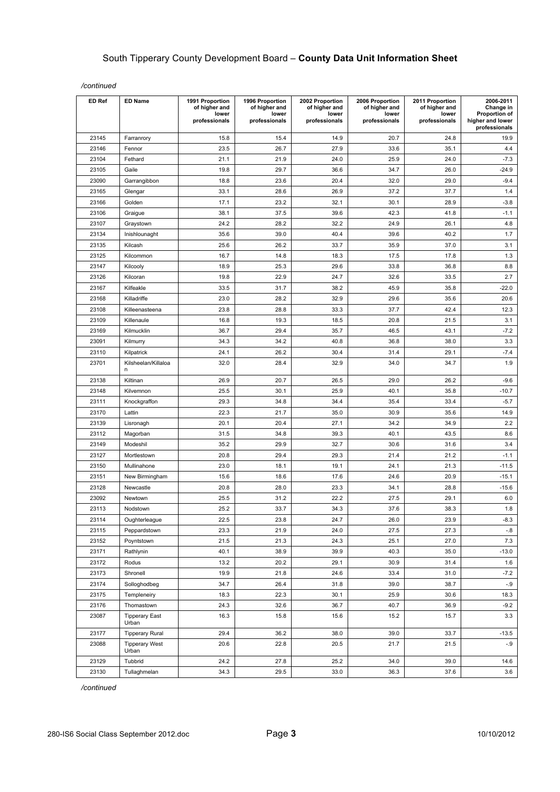| <b>ED Ref</b> | <b>ED Name</b>                 | 1991 Proportion<br>of higher and<br>lower<br>professionals | 1996 Proportion<br>of higher and<br>lower<br>professionals | 2002 Proportion<br>of higher and<br>lower<br>professionals | 2006 Proportion<br>of higher and<br>lower<br>professionals | 2011 Proportion<br>of higher and<br>lower<br>professionals | 2006-2011<br>Change in<br>Proportion of<br>higher and lower<br>professionals |
|---------------|--------------------------------|------------------------------------------------------------|------------------------------------------------------------|------------------------------------------------------------|------------------------------------------------------------|------------------------------------------------------------|------------------------------------------------------------------------------|
| 23145         | Farranrory                     | 15.8                                                       | 15.4                                                       | 14.9                                                       | 20.7                                                       | 24.8                                                       | 19.9                                                                         |
| 23146         | Fennor                         | 23.5                                                       | 26.7                                                       | 27.9                                                       | 33.6                                                       | 35.1                                                       | 4.4                                                                          |
| 23104         | Fethard                        | 21.1                                                       | 21.9                                                       | 24.0                                                       | 25.9                                                       | 24.0                                                       | $-7.3$                                                                       |
| 23105         | Gaile                          | 19.8                                                       | 29.7                                                       | 36.6                                                       | 34.7                                                       | 26.0                                                       | $-24.9$                                                                      |
| 23090         | Garrangibbon                   | 18.8                                                       | 23.6                                                       | 20.4                                                       | 32.0                                                       | 29.0                                                       | $-9.4$                                                                       |
| 23165         | Glengar                        | 33.1                                                       | 28.6                                                       | 26.9                                                       | 37.2                                                       | 37.7                                                       | 1.4                                                                          |
| 23166         | Golden                         | 17.1                                                       | 23.2                                                       | 32.1                                                       | 30.1                                                       | 28.9                                                       | $-3.8$                                                                       |
| 23106         | Graigue                        | 38.1                                                       | 37.5                                                       | 39.6                                                       | 42.3                                                       | 41.8                                                       | $-1.1$                                                                       |
| 23107         | Graystown                      | 24.2                                                       | 28.2                                                       | 32.2                                                       | 24.9                                                       | 26.1                                                       | 4.8                                                                          |
| 23134         | Inishlounaght                  | 35.6                                                       | 39.0                                                       | 40.4                                                       | 39.6                                                       | 40.2                                                       | 1.7                                                                          |
| 23135         | Kilcash                        | 25.6                                                       | 26.2                                                       | 33.7                                                       | 35.9                                                       | 37.0                                                       | 3.1                                                                          |
| 23125         | Kilcommon                      | 16.7                                                       | 14.8                                                       | 18.3                                                       | 17.5                                                       | 17.8                                                       | 1.3                                                                          |
| 23147         | Kilcooly                       | 18.9                                                       | 25.3                                                       | 29.6                                                       | 33.8                                                       | 36.8                                                       | 8.8                                                                          |
| 23126         | Kilcoran                       | 19.8                                                       | 22.9                                                       | 24.7                                                       | 32.6                                                       | 33.5                                                       | 2.7                                                                          |
| 23167         | Kilfeakle                      | 33.5                                                       | 31.7                                                       | 38.2                                                       | 45.9                                                       | 35.8                                                       | $-22.0$                                                                      |
| 23168         | Killadriffe                    | 23.0                                                       | 28.2                                                       | 32.9                                                       | 29.6                                                       | 35.6                                                       | 20.6                                                                         |
| 23108         | Killeenasteena                 | 23.8                                                       | 28.8                                                       | 33.3                                                       | 37.7                                                       | 42.4                                                       | 12.3                                                                         |
| 23109         | Killenaule                     | 16.8                                                       | 19.3                                                       | 18.5                                                       | 20.8                                                       | 21.5                                                       | 3.1                                                                          |
| 23169         | Kilmucklin                     | 36.7                                                       | 29.4                                                       | 35.7                                                       | 46.5                                                       | 43.1                                                       | $-7.2$                                                                       |
| 23091         | Kilmurry                       | 34.3                                                       | 34.2                                                       | 40.8                                                       | 36.8                                                       | 38.0                                                       | 3.3                                                                          |
| 23110         | Kilpatrick                     | 24.1                                                       | 26.2                                                       | 30.4                                                       | 31.4                                                       | 29.1                                                       | $-7.4$                                                                       |
| 23701         | Kilsheelan/Killaloa<br>n       | 32.0                                                       | 28.4                                                       | 32.9                                                       | 34.0                                                       | 34.7                                                       | 1.9                                                                          |
| 23138         | Kiltinan                       | 26.9                                                       | 20.7                                                       | 26.5                                                       | 29.0                                                       | 26.2                                                       | $-9.6$                                                                       |
| 23148         | Kilvemnon                      | 25.5                                                       | 30.1                                                       | 25.9                                                       | 40.1                                                       | 35.8                                                       | $-10.7$                                                                      |
| 23111         | Knockgraffon                   | 29.3                                                       | 34.8                                                       | 34.4                                                       | 35.4                                                       | 33.4                                                       | $-5.7$                                                                       |
| 23170         | Lattin                         | 22.3                                                       | 21.7                                                       | 35.0                                                       | 30.9                                                       | 35.6                                                       | 14.9                                                                         |
| 23139         | Lisronagh                      | 20.1                                                       | 20.4                                                       | 27.1                                                       | 34.2                                                       | 34.9                                                       | 2.2                                                                          |
| 23112         | Magorban                       | 31.5                                                       | 34.8                                                       | 39.3                                                       | 40.1                                                       | 43.5                                                       | 8.6                                                                          |
| 23149         | Modeshil                       | 35.2                                                       | 29.9                                                       | 32.7                                                       | 30.6                                                       | 31.6                                                       | 3.4                                                                          |
| 23127         | Mortlestown                    | 20.8                                                       | 29.4                                                       | 29.3                                                       | 21.4                                                       | 21.2                                                       | $-1.1$                                                                       |
| 23150         | Mullinahone                    | 23.0                                                       | 18.1                                                       | 19.1                                                       | 24.1                                                       | 21.3                                                       | $-11.5$                                                                      |
| 23151         | New Birmingham                 | 15.6                                                       | 18.6                                                       | 17.6                                                       | 24.6                                                       | 20.9                                                       | $-15.1$                                                                      |
| 23128         | Newcastle                      | 20.8                                                       | 28.0                                                       | 23.3                                                       | 34.1                                                       | 28.8                                                       | $-15.6$                                                                      |
| 23092         | Newtown                        | 25.5                                                       | 31.2                                                       | 22.2                                                       | 27.5                                                       | 29.1                                                       | 6.0                                                                          |
| 23113         | Nodstown                       | 25.2                                                       | 33.7                                                       | 34.3                                                       | 37.6                                                       | 38.3                                                       | 1.8                                                                          |
| 23114         | Oughterleague                  | 22.5                                                       | 23.8                                                       | 24.7                                                       | 26.0                                                       | 23.9                                                       | $-8.3$                                                                       |
| 23115         | Peppardstown                   | 23.3                                                       | 21.9                                                       | 24.0                                                       | 27.5                                                       | 27.3                                                       | $-.8$                                                                        |
| 23152         | Poyntstown                     | 21.5                                                       | 21.3                                                       | 24.3                                                       | 25.1                                                       | 27.0                                                       | 7.3                                                                          |
| 23171         | Rathlynin                      | 40.1                                                       | 38.9                                                       | 39.9                                                       | 40.3                                                       | 35.0                                                       | $-13.0$                                                                      |
| 23172         | Rodus                          | 13.2                                                       | 20.2                                                       | 29.1                                                       | 30.9                                                       | 31.4                                                       | 1.6                                                                          |
| 23173         | Shronell                       | 19.9                                                       | 21.8                                                       | 24.6                                                       | 33.4                                                       | 31.0                                                       | $-7.2$                                                                       |
| 23174         | Solloghodbeg                   | 34.7                                                       | 26.4                                                       | 31.8                                                       | 39.0                                                       | 38.7                                                       | $-.9$                                                                        |
| 23175         | Templeneiry                    | 18.3                                                       | 22.3                                                       | 30.1                                                       | 25.9                                                       | 30.6                                                       | 18.3                                                                         |
| 23176         | Thomastown                     | 24.3                                                       | 32.6                                                       | 36.7                                                       | 40.7                                                       | 36.9                                                       | $-9.2$                                                                       |
| 23087         | <b>Tipperary East</b><br>Urban | 16.3                                                       | 15.8                                                       | 15.6                                                       | 15.2                                                       | 15.7                                                       | 3.3                                                                          |
| 23177         | <b>Tipperary Rural</b>         | 29.4                                                       | 36.2                                                       | 38.0                                                       | 39.0                                                       | 33.7                                                       | $-13.5$                                                                      |
| 23088         | <b>Tipperary West</b><br>Urban | 20.6                                                       | 22.8                                                       | 20.5                                                       | 21.7                                                       | 21.5                                                       | $-0.9$                                                                       |
| 23129         | Tubbrid                        | 24.2                                                       | 27.8                                                       | 25.2                                                       | 34.0                                                       | 39.0                                                       | 14.6                                                                         |
| 23130         | Tullaghmelan                   | 34.3                                                       | 29.5                                                       | 33.0                                                       | 36.3                                                       | 37.6                                                       | 3.6                                                                          |

*/continued*

*/continued*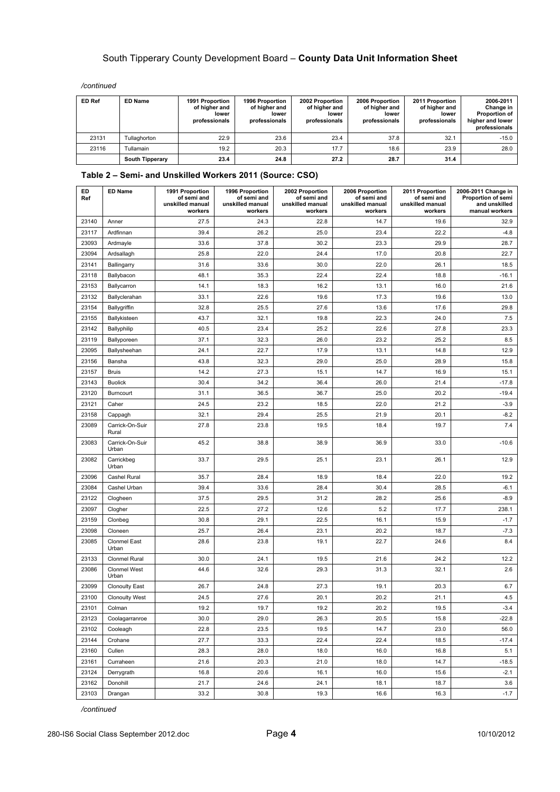*/continued*

| <b>ED Ref</b> | <b>ED Name</b>         | 1991 Proportion<br>of higher and<br>lower<br>professionals | 1996 Proportion<br>of higher and<br>lower<br>professionals | 2002 Proportion<br>of higher and<br>lower<br>professionals | 2006 Proportion<br>of higher and<br>lower<br>professionals | 2011 Proportion<br>of higher and<br>lower<br>professionals | 2006-2011<br>Change in<br>Proportion of<br>higher and lower<br>professionals |
|---------------|------------------------|------------------------------------------------------------|------------------------------------------------------------|------------------------------------------------------------|------------------------------------------------------------|------------------------------------------------------------|------------------------------------------------------------------------------|
| 23131         | Tullaghorton           | 22.9                                                       | 23.6                                                       | 23.4                                                       | 37.8                                                       | 32.1                                                       | $-15.0$                                                                      |
| 23116         | Tullamain              | 19.2                                                       | 20.3                                                       | 17.7                                                       | 18.6                                                       | 23.9                                                       | 28.0                                                                         |
|               | <b>South Tipperary</b> | 23.4                                                       | 24.8                                                       | 27.2                                                       | 28.7                                                       | 31.4                                                       |                                                                              |

#### **Table 2 – Semi- and Unskilled Workers 2011 (Source: CSO)**

| ED<br>Ref | <b>ED Name</b>               | 1991 Proportion<br>of semi and<br>unskilled manual<br>workers | 1996 Proportion<br>of semi and<br>unskilled manual<br>workers | 2002 Proportion<br>of semi and<br>unskilled manual<br>workers | 2006 Proportion<br>of semi and<br>unskilled manual<br>workers | 2011 Proportion<br>of semi and<br>unskilled manual<br>workers | 2006-2011 Change in<br>Proportion of semi<br>and unskilled<br>manual workers |
|-----------|------------------------------|---------------------------------------------------------------|---------------------------------------------------------------|---------------------------------------------------------------|---------------------------------------------------------------|---------------------------------------------------------------|------------------------------------------------------------------------------|
| 23140     | Anner                        | 27.5                                                          | 24.3                                                          | 22.8                                                          | 14.7                                                          | 19.6                                                          | 32.9                                                                         |
| 23117     | Ardfinnan                    | 39.4                                                          | 26.2                                                          | 25.0                                                          | 23.4                                                          | 22.2                                                          | $-4.8$                                                                       |
| 23093     | Ardmayle                     | 33.6                                                          | 37.8                                                          | 30.2                                                          | 23.3                                                          | 29.9                                                          | 28.7                                                                         |
| 23094     | Ardsallagh                   | 25.8                                                          | 22.0                                                          | 24.4                                                          | 17.0                                                          | 20.8                                                          | 22.7                                                                         |
| 23141     | Ballingarry                  | 31.6                                                          | 33.6                                                          | 30.0                                                          | 22.0                                                          | 26.1                                                          | 18.5                                                                         |
| 23118     | Ballybacon                   | 48.1                                                          | 35.3                                                          | 22.4                                                          | 22.4                                                          | 18.8                                                          | $-16.1$                                                                      |
| 23153     | Ballycarron                  | 14.1                                                          | 18.3                                                          | 16.2                                                          | 13.1                                                          | 16.0                                                          | 21.6                                                                         |
| 23132     | Ballyclerahan                | 33.1                                                          | 22.6                                                          | 19.6                                                          | 17.3                                                          | 19.6                                                          | 13.0                                                                         |
| 23154     | Ballygriffin                 | 32.8                                                          | 25.5                                                          | 27.6                                                          | 13.6                                                          | 17.6                                                          | 29.8                                                                         |
| 23155     | Ballykisteen                 | 43.7                                                          | 32.1                                                          | 19.8                                                          | 22.3                                                          | 24.0                                                          | 7.5                                                                          |
| 23142     | Ballyphilip                  | 40.5                                                          | 23.4                                                          | 25.2                                                          | 22.6                                                          | 27.8                                                          | 23.3                                                                         |
| 23119     | Ballyporeen                  | 37.1                                                          | 32.3                                                          | 26.0                                                          | 23.2                                                          | 25.2                                                          | 8.5                                                                          |
| 23095     | Ballysheehan                 | 24.1                                                          | 22.7                                                          | 17.9                                                          | 13.1                                                          | 14.8                                                          | 12.9                                                                         |
| 23156     | Bansha                       | 43.8                                                          | 32.3                                                          | 29.0                                                          | 25.0                                                          | 28.9                                                          | 15.8                                                                         |
| 23157     | <b>Bruis</b>                 | 14.2                                                          | 27.3                                                          | 15.1                                                          | 14.7                                                          | 16.9                                                          | 15.1                                                                         |
| 23143     | <b>Buolick</b>               | 30.4                                                          | 34.2                                                          | 36.4                                                          | 26.0                                                          | 21.4                                                          | $-17.8$                                                                      |
| 23120     | Burncourt                    | 31.1                                                          | 36.5                                                          | 36.7                                                          | 25.0                                                          | 20.2                                                          | $-19.4$                                                                      |
| 23121     | Caher                        | 24.5                                                          | 23.2                                                          | 18.5                                                          | 22.0                                                          | 21.2                                                          | $-3.9$                                                                       |
| 23158     | Cappagh                      | 32.1                                                          | 29.4                                                          | 25.5                                                          | 21.9                                                          | 20.1                                                          | $-8.2$                                                                       |
| 23089     | Carrick-On-Suir<br>Rural     | 27.8                                                          | 23.8                                                          | 19.5                                                          | 18.4                                                          | 19.7                                                          | 7.4                                                                          |
| 23083     | Carrick-On-Suir<br>Urban     | 45.2                                                          | 38.8                                                          | 38.9                                                          | 36.9                                                          | 33.0                                                          | $-10.6$                                                                      |
| 23082     | Carrickbeg<br>Urban          | 33.7                                                          | 29.5                                                          | 25.1                                                          | 23.1                                                          | 26.1                                                          | 12.9                                                                         |
| 23096     | Cashel Rural                 | 35.7                                                          | 28.4                                                          | 18.9                                                          | 18.4                                                          | 22.0                                                          | 19.2                                                                         |
| 23084     | Cashel Urban                 | 39.4                                                          | 33.6                                                          | 28.4                                                          | 30.4                                                          | 28.5                                                          | $-6.1$                                                                       |
| 23122     | Clogheen                     | 37.5                                                          | 29.5                                                          | 31.2                                                          | 28.2                                                          | 25.6                                                          | $-8.9$                                                                       |
| 23097     | Clogher                      | 22.5                                                          | 27.2                                                          | 12.6                                                          | 5.2                                                           | 17.7                                                          | 238.1                                                                        |
| 23159     | Clonbeg                      | 30.8                                                          | 29.1                                                          | 22.5                                                          | 16.1                                                          | 15.9                                                          | $-1.7$                                                                       |
| 23098     | Cloneen                      | 25.7                                                          | 26.4                                                          | 23.1                                                          | 20.2                                                          | 18.7                                                          | $-7.3$                                                                       |
| 23085     | <b>Clonmel East</b><br>Urban | 28.6                                                          | 23.8                                                          | 19.1                                                          | 22.7                                                          | 24.6                                                          | 8.4                                                                          |
| 23133     | Clonmel Rural                | 30.0                                                          | 24.1                                                          | 19.5                                                          | 21.6                                                          | 24.2                                                          | 12.2                                                                         |
| 23086     | <b>Clonmel West</b><br>Urban | 44.6                                                          | 32.6                                                          | 29.3                                                          | 31.3                                                          | 32.1                                                          | 2.6                                                                          |
| 23099     | <b>Clonoulty East</b>        | 26.7                                                          | 24.8                                                          | 27.3                                                          | 19.1                                                          | 20.3                                                          | 6.7                                                                          |
| 23100     | <b>Clonoulty West</b>        | 24.5                                                          | 27.6                                                          | 20.1                                                          | 20.2                                                          | 21.1                                                          | 4.5                                                                          |
| 23101     | Colman                       | 19.2                                                          | 19.7                                                          | 19.2                                                          | 20.2                                                          | 19.5                                                          | $-3.4$                                                                       |
| 23123     | Coolagarranroe               | 30.0                                                          | 29.0                                                          | 26.3                                                          | 20.5                                                          | 15.8                                                          | $-22.8$                                                                      |
| 23102     | Cooleagh                     | 22.8                                                          | 23.5                                                          | 19.5                                                          | 14.7                                                          | 23.0                                                          | 56.0                                                                         |
| 23144     | Crohane                      | 27.7                                                          | 33.3                                                          | 22.4                                                          | 22.4                                                          | 18.5                                                          | $-17.4$                                                                      |
| 23160     | Cullen                       | 28.3                                                          | 28.0                                                          | 18.0                                                          | 16.0                                                          | 16.8                                                          | 5.1                                                                          |
| 23161     | Curraheen                    | 21.6                                                          | 20.3                                                          | 21.0                                                          | 18.0                                                          | 14.7                                                          | $-18.5$                                                                      |
| 23124     | Derrygrath                   | 16.8                                                          | 20.6                                                          | 16.1                                                          | 16.0                                                          | 15.6                                                          | $-2.1$                                                                       |
| 23162     | Donohill                     | 21.7                                                          | 24.6                                                          | 24.1                                                          | 18.1                                                          | 18.7                                                          | 3.6                                                                          |
| 23103     | Drangan                      | 33.2                                                          | 30.8                                                          | 19.3                                                          | 16.6                                                          | 16.3                                                          | $-1.7$                                                                       |

*/continued*